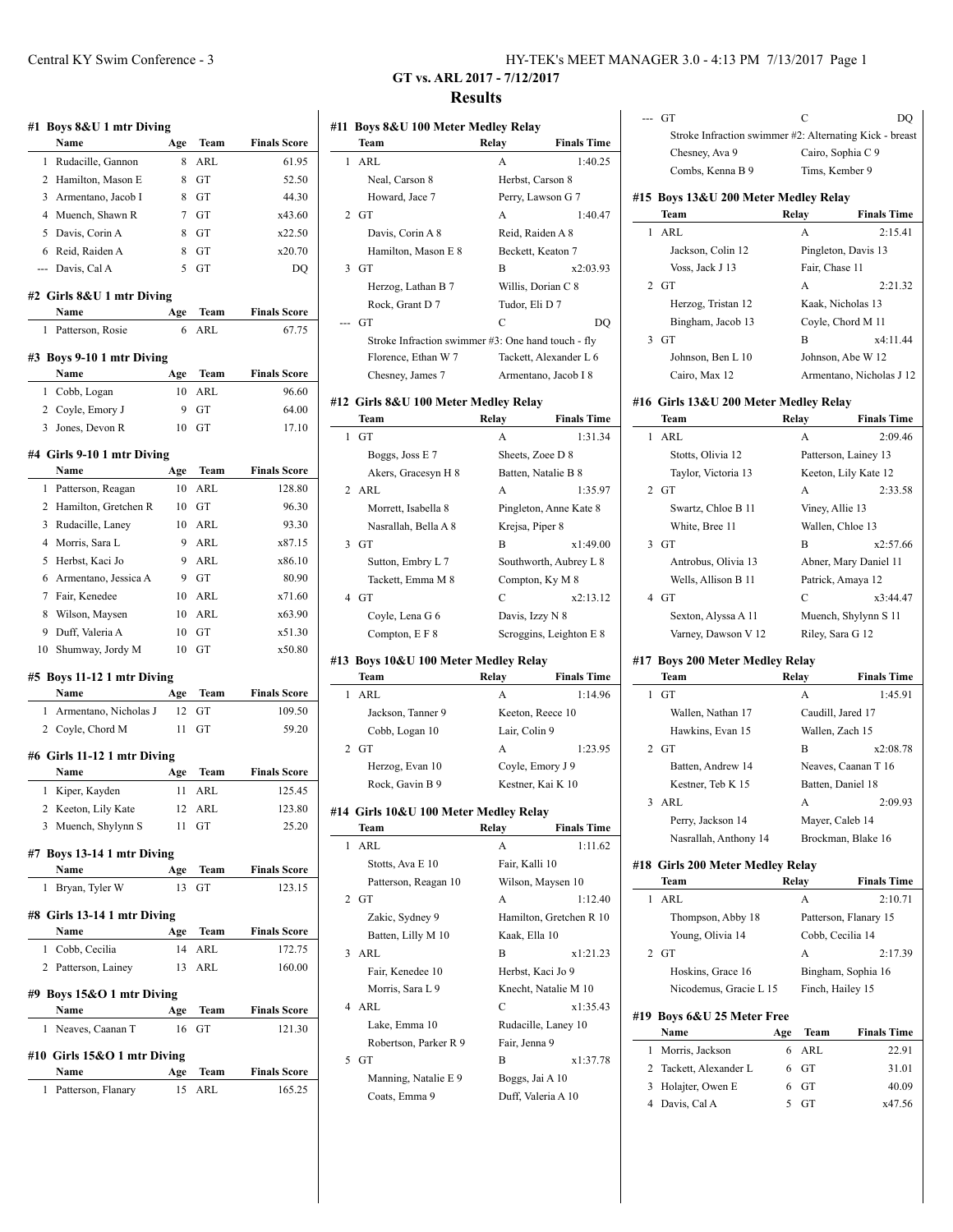| #1             | Boys 8&U 1 mtr Diving       |     |            |                     | #11 |
|----------------|-----------------------------|-----|------------|---------------------|-----|
|                | Name                        | Age | Team       | <b>Finals Score</b> |     |
| 1              | Rudacille, Gannon           | 8   | <b>ARL</b> | 61.95               |     |
| 2              | Hamilton, Mason E           | 8   | GT         | 52.50               |     |
| 3              | Armentano, Jacob I          | 8   | GT         | 44.30               |     |
| 4              | Muench, Shawn R             | 7   | GT         | x43.60              |     |
| 5              | Davis, Corin A              | 8   | GT         | x22.50              |     |
| 6              | Reid, Raiden A              | 8   | GT         | x20.70              |     |
| $\overline{a}$ | Davis, Cal A                | 5   | GT         | DQ                  |     |
|                | #2 Girls 8&U 1 mtr Diving   |     |            |                     |     |
|                | Name                        | Age | Team       | <b>Finals Score</b> |     |
| 1              | Patterson, Rosie            | 6   | ARL        | 67.75               |     |
|                | #3 Boys 9-10 1 mtr Diving   |     |            |                     |     |
|                | Name                        | Age | Team       | <b>Finals Score</b> |     |
| 1              | Cobb, Logan                 | 10  | ARL        | 96.60               |     |
| 2              | Coyle, Emory J              | 9   | GT         | 64.00               | #12 |
| 3              | Jones, Devon R              | 10  | GT         | 17.10               |     |
|                | #4 Girls 9-10 1 mtr Diving  |     |            |                     |     |
|                | Name                        | Age | Team       | <b>Finals Score</b> |     |
| $\mathbf{1}$   | Patterson, Reagan           | 10  | ARL        | 128.80              |     |
| 2              | Hamilton, Gretchen R        | 10  | GT         | 96.30               |     |
| 3              | Rudacille, Laney            | 10  | ARL        | 93.30               |     |
| 4              | Morris, Sara L              | 9   | ARL        | x87.15              |     |
| 5              | Herbst, Kaci Jo             | 9   | ARL        | x86.10              |     |
| 6              | Armentano, Jessica A        | 9   | <b>GT</b>  | 80.90               |     |
| $\overline{7}$ | Fair, Kenedee               | 10  | <b>ARL</b> | x71.60              |     |
| 8              | Wilson, Maysen              | 10  | ARL        | x63.90              |     |
| 9              | Duff, Valeria A             | 10  | GT         | x51.30              |     |
| 10             | Shumway, Jordy M            | 10  | GT         | x50.80              | #13 |
|                | #5 Boys 11-12 1 mtr Diving  |     |            |                     |     |
|                | Name                        | Age | Team       | <b>Finals Score</b> |     |
| 1              | Armentano, Nicholas J       | 12  | GT         | 109.50              |     |
| 2              | Coyle, Chord M              | 11  | GT         | 59.20               |     |
|                | #6 Girls 11-12 1 mtr Diving |     |            |                     |     |
|                | Name                        | Age | Team       | <b>Finals Score</b> |     |
|                |                             |     |            |                     |     |

2 Keeton, Lily Kate 12 ARL 123.80 3 Muench, Shylynn S 11 GT 25.20 **#7 Boys 13-14 1 mtr Diving Name Age Team Finals Score** 1 Bryan, Tyler W 13 GT 123.15 **#8 Girls 13-14 1 mtr Diving Name Age Team Finals Score**

|   | Cobb, Cecilia                | 14  | ARL         | 172.75              |
|---|------------------------------|-----|-------------|---------------------|
|   | 2 Patterson, Lainey          | 13  | ARL         | 160.00              |
|   | #9 Boys $15\&O$ 1 mtr Diving |     |             |                     |
|   | Name                         | Age | <b>Team</b> | <b>Finals Score</b> |
|   |                              |     |             |                     |
| L | Neaves, Caanan T             | 16  | GT          | 121.30              |
|   | #10 Girls 15&O 1 mtr Diving  |     |             |                     |
|   | Name                         | Age | <b>Team</b> | <b>Finals Score</b> |

| Central KY Swim Conference - 3 | HY-TEK's MEET MANAGER 3.0 - 4:13 PM 7/13/2017 Page 1 |  |
|--------------------------------|------------------------------------------------------|--|
|                                |                                                      |  |

## **GT vs. ARL 2017 - 7/12/2017 Results**

| #11 | Boys 8&U 100 Meter Medley Relay                    |                 |                         |
|-----|----------------------------------------------------|-----------------|-------------------------|
|     | Team                                               | Relay           | <b>Finals Time</b>      |
| 1   | ARL                                                | A               | 1:40.25                 |
|     | Neal, Carson 8                                     |                 | Herbst, Carson 8        |
|     | Howard, Jace 7                                     |                 | Perry, Lawson G 7       |
| 2   | GT                                                 | A               | 1:40.47                 |
|     | Davis, Corin A 8                                   |                 | Reid, Raiden A 8        |
|     | Hamilton, Mason E 8                                |                 | Beckett, Keaton 7       |
| 3   | GT                                                 | В               | x2:03.93                |
|     | Herzog, Lathan B 7                                 |                 | Willis, Dorian C 8      |
|     | Rock, Grant D 7                                    | Tudor, Eli D 7  |                         |
| --- | GT                                                 | C               | DQ                      |
|     | Stroke Infraction swimmer #3: One hand touch - fly |                 |                         |
|     | Florence, Ethan W 7                                |                 | Tackett, Alexander L 6  |
|     | Chesney, James 7                                   |                 | Armentano, Jacob I 8    |
|     |                                                    |                 |                         |
|     | #12 Girls 8&U 100 Meter Medley Relay               |                 |                         |
|     | Team                                               | Relay           | <b>Finals Time</b>      |
| 1   | GT                                                 | A               | 1:31.34                 |
|     | Boggs, Joss E 7                                    |                 | Sheets, Zoee D 8        |
|     | Akers, Gracesyn H 8                                |                 | Batten, Natalie B 8     |
|     | 2 ARL                                              | A               | 1:35.97                 |
|     | Morrett, Isabella 8                                |                 | Pingleton, Anne Kate 8  |
|     | Nasrallah, Bella A 8                               | Krejsa, Piper 8 |                         |
|     | $3$ GT                                             | В               | x1:49.00                |
|     | Sutton, Embry L 7                                  |                 | Southworth, Aubrey L 8  |
|     | Tackett, Emma M 8                                  |                 | Compton, Ky M 8         |
|     | $4$ GT                                             | C               | x2:13.12                |
|     | Coyle, Lena G 6                                    | Davis, Izzy N 8 |                         |
|     | Compton, E F 8                                     |                 | Scroggins, Leighton E 8 |
|     | #13 Boys 10&U 100 Meter Medley Relay               |                 |                         |
|     | Team                                               | Relay           | <b>Finals Time</b>      |
| 1   | ARL                                                | A               | 1:14.96                 |
|     | Jackson, Tanner 9                                  |                 | Keeton, Reece 10        |
|     | Cobb, Logan 10                                     | Lair, Colin 9   |                         |
|     | $2$ GT                                             | A               | 1:23.95                 |
|     | Herzog, Evan 10                                    |                 | Coyle, Emory J 9        |
|     | Rock, Gavin B 9                                    |                 | Kestner, Kai K 10       |
|     |                                                    |                 |                         |
|     | #14 Girls 10&U 100 Meter Medley Relay              |                 |                         |
|     | Team                                               | Relay           | <b>Finals Time</b>      |
| 1   | ARL                                                | A               | 1:11.62                 |
|     | Stotts, Ava E 10                                   | Fair, Kalli 10  |                         |
|     | Patterson, Reagan 10                               |                 | Wilson, Maysen 10       |
| 2   | GT                                                 | A               | 1:12.40                 |
|     | Zakic, Sydney 9                                    |                 | Hamilton, Gretchen R 10 |
|     | Batten, Lilly M 10                                 | Kaak, Ella 10   |                         |
| 3   | ARL                                                | B               | x1:21.23                |
|     | Fair, Kenedee 10                                   |                 | Herbst, Kaci Jo 9       |
|     | Morris, Sara L 9                                   |                 | Knecht, Natalie M 10    |
| 4   | ARL                                                | C               | x1:35.43                |
|     | Lake, Emma 10                                      |                 | Rudacille, Laney 10     |
|     | Robertson, Parker R 9                              | Fair, Jenna 9   |                         |
| 5   | GT                                                 | B               | x1:37.78                |
|     | Manning, Natalie E 9                               |                 | Boggs, Jai A 10         |
|     | Coats, Emma 9                                      |                 | Duff, Valeria A 10      |

|        | GT                                                      |        | C                    | DQ                       |
|--------|---------------------------------------------------------|--------|----------------------|--------------------------|
|        | Stroke Infraction swimmer #2: Alternating Kick - breast |        |                      |                          |
|        | Chesney, Ava 9                                          |        | Cairo, Sophia C 9    |                          |
|        | Combs, Kenna B 9                                        |        | Tims, Kember 9       |                          |
|        | #15 Boys 13&U 200 Meter Medley Relay                    |        |                      |                          |
|        | Team                                                    | Relay  |                      | <b>Finals Time</b>       |
| 1      | ARL                                                     |        | А                    | 2:15.41                  |
|        | Jackson, Colin 12                                       |        | Pingleton, Davis 13  |                          |
|        | Voss, Jack J 13                                         |        | Fair, Chase 11       |                          |
| 2      | <b>GT</b>                                               |        | A                    | 2:21.32                  |
|        | Herzog, Tristan 12                                      |        | Kaak, Nicholas 13    |                          |
|        | Bingham, Jacob 13                                       |        | Coyle, Chord M 11    |                          |
| 3      | GT                                                      |        | B                    | x4:11.44                 |
|        | Johnson, Ben L 10                                       |        | Johnson, Abe W 12    |                          |
|        | Cairo, Max 12                                           |        |                      | Armentano, Nicholas J 12 |
|        |                                                         |        |                      |                          |
|        | #16 Girls 13&U 200 Meter Medley Relay<br>Team           | Relay  |                      | <b>Finals Time</b>       |
| 1      | ARL                                                     |        | А                    | 2:09.46                  |
|        | Stotts, Olivia 12                                       |        | Patterson, Lainey 13 |                          |
|        | Taylor, Victoria 13                                     |        |                      | Keeton, Lily Kate 12     |
| 2      | GT                                                      |        | A                    | 2:33.58                  |
|        | Swartz, Chloe B 11                                      |        | Viney, Allie 13      |                          |
|        | White, Bree 11                                          |        | Wallen, Chloe 13     |                          |
| 3      | GT                                                      |        | B                    | x2:57.66                 |
|        | Antrobus, Olivia 13                                     |        |                      | Abner, Mary Daniel 11    |
|        | Wells, Allison B 11                                     |        | Patrick, Amaya 12    |                          |
| 4      | GT                                                      |        | С                    | x3:44.47                 |
|        | Sexton, Alyssa A 11                                     |        |                      | Muench, Shylynn S 11     |
|        | Varney, Dawson V 12                                     |        | Riley, Sara G 12     |                          |
|        |                                                         |        |                      |                          |
|        | #17 Boys 200 Meter Medley Relay<br>Team                 | Relay  |                      | <b>Finals Time</b>       |
| 1      | GT                                                      |        | A                    | 1:45.91                  |
|        | Wallen, Nathan 17                                       |        | Caudill, Jared 17    |                          |
|        | Hawkins, Evan 15                                        |        | Wallen, Zach 15      |                          |
| 2      | GT                                                      |        | B                    | x2:08.78                 |
|        | Batten, Andrew 14                                       |        |                      | Neaves, Caanan T 16      |
|        | Kestner, Teb K 15                                       |        | Batten, Daniel 18    |                          |
| 3      | ARL                                                     |        | А                    | 2:09.93                  |
|        | Perry, Jackson 14                                       |        | Mayer, Caleb 14      |                          |
|        | Nasrallah, Anthony 14                                   |        |                      | Brockman, Blake 16       |
|        |                                                         |        |                      |                          |
|        | #18 Girls 200 Meter Medley Relay<br>Team                | Relay  |                      | <b>Finals Time</b>       |
| 1      | ARL                                                     |        | A                    | 2:10.71                  |
|        | Thompson, Abby 18                                       |        |                      | Patterson, Flanary 15    |
|        |                                                         |        |                      |                          |
|        |                                                         |        |                      |                          |
|        | Young, Olivia 14                                        |        | Cobb, Cecilia 14     |                          |
| 2      | GT                                                      |        | A                    | 2:17.39                  |
|        | Hoskins, Grace 16                                       |        | Bingham, Sophia 16   |                          |
|        | Nicodemus, Gracie L 15                                  |        | Finch, Hailey 15     |                          |
|        | #19 Boys 6&U 25 Meter Free                              |        |                      |                          |
|        | Name                                                    | Age    | Team                 | <b>Finals Time</b>       |
| 1      | Morris, Jackson                                         | 6      | ARL                  | 22.91                    |
| 2      | Tackett, Alexander L                                    | 6      | GT                   | 31.01                    |
| 3<br>4 | Holajter, Owen E<br>Davis, Cal A                        | 6<br>5 | GТ<br>GТ             | 40.09<br>x47.56          |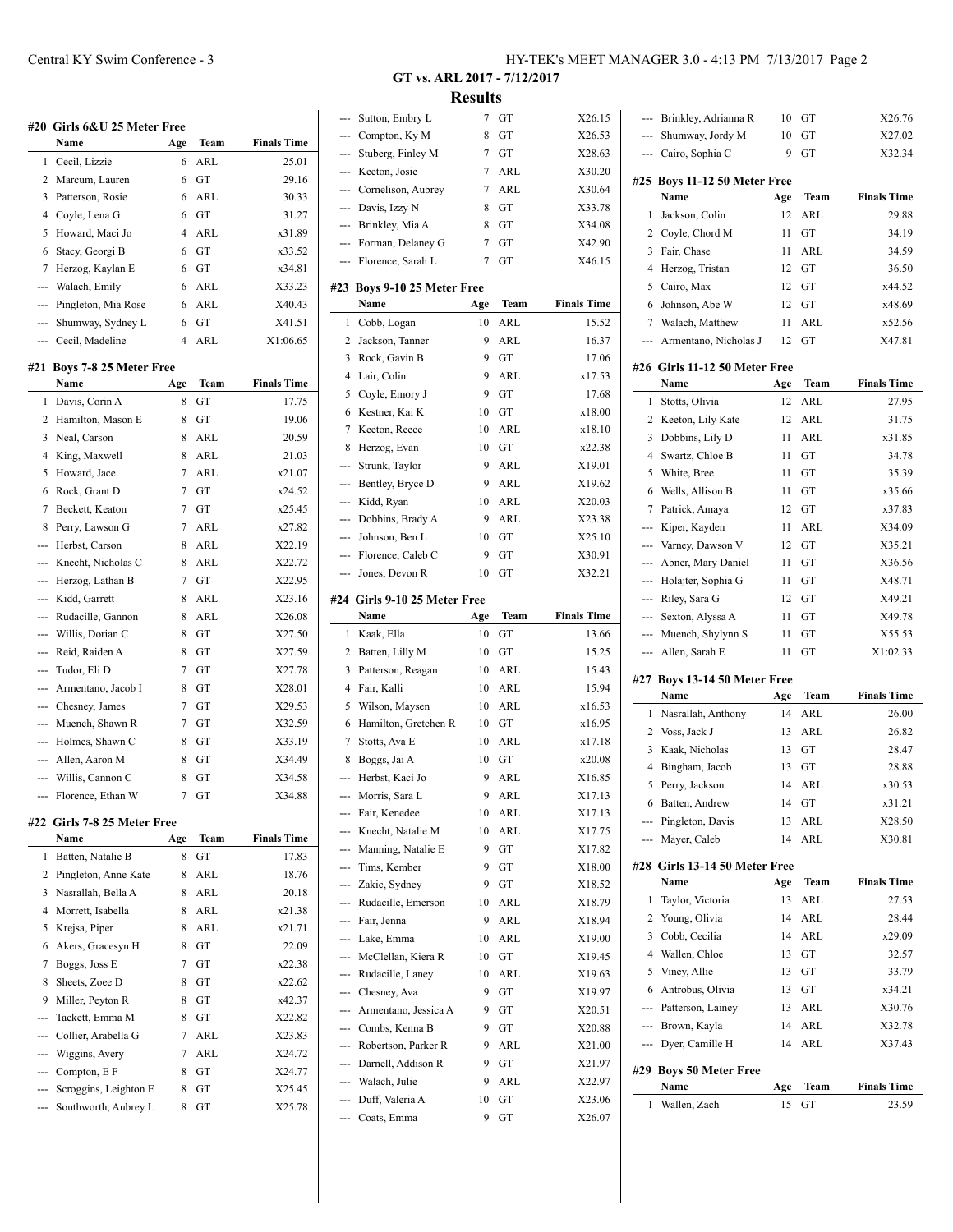|     | #20 Girls 6&U 25 Meter Free |     |            |                    |
|-----|-----------------------------|-----|------------|--------------------|
|     | Name                        | Age | Team       | <b>Finals Time</b> |
| 1   | Cecil, Lizzie               | 6   | ARL        | 25.01              |
| 2   | Marcum, Lauren              | 6   | GT         | 29.16              |
| 3   | Patterson, Rosie            | 6   | ARL        | 30.33              |
| 4   | Coyle, Lena G               | 6   | GТ         | 31.27              |
| 5   | Howard, Maci Jo             | 4   | ARL        | x31.89             |
| 6   | Stacy, Georgi B             | 6   | GT         | x33.52             |
| 7   | Herzog, Kaylan E            | 6   | GТ         | x34.81             |
|     | Walach, Emily               | 6   | ARL        | X33.23             |
| --- | Pingleton, Mia Rose         | 6   | <b>ARL</b> | X40.43             |
| --- | Shumway, Sydney L           | 6   | GТ         | X41.51             |
| --- | Cecil, Madeline             | 4   | ARL        | X1:06.65           |
| #21 | Boys 7-8 25 Meter Free      |     |            |                    |
|     | Name                        | Age | Team       | <b>Finals Time</b> |
| 1   | Davis, Corin A              | 8   | GТ         | 17.75              |
| 2   | Hamilton, Mason E           | 8   | GT         | 19.06              |
| 3   | Neal, Carson                | 8   | ARL        | 20.59              |
| 4   | King, Maxwell               | 8   | ARL        | 21.03              |
| 5   | Howard, Jace                | 7   | ARL        | x21.07             |
| 6   | Rock, Grant D               | 7   | GT         | x24.52             |
| 7   | Beckett, Keaton             | 7   | GT         | x25.45             |
| 8   | Perry, Lawson G             | 7   | ARL        | x27.82             |
| --- | Herbst, Carson              | 8   | ARL        | X22.19             |
| --- | Knecht, Nicholas C          | 8   | ARL        | X22.72             |
| --- | Herzog, Lathan B            | 7   | GT         | X22.95             |
| --- | Kidd, Garrett               | 8   | ARL        | X23.16             |
| --- | Rudacille, Gannon           | 8   | ARL        | X26.08             |
| --- | Willis, Dorian C            | 8   | GТ         | X27.50             |
|     | Reid, Raiden A              | 8   | GТ         | X27.59             |
|     | Tudor, Eli D                | 7   | GТ         | X27.78             |
|     | Armentano, Jacob I          | 8   | GТ         | X28.01             |
|     | --- Chesney, James          | 7   | GТ         | X29.53             |
| --- | Muench, Shawn R             | 7   | GТ         | X32.59             |
|     | --- Holmes, Shawn C         | 8   | GT         | X33.19             |
|     | --- Allen, Aaron M          | 8   | GТ         | X34.49             |
| --- | Willis, Cannon C            | 8   | GТ         | X34.58             |
|     | Florence, Ethan W           | 7   | GT         | X34.88             |
|     | #22 Girls 7-8 25 Meter Free |     |            |                    |
|     | Name                        | Age | Team       | <b>Finals Time</b> |
| 1   | Batten, Natalie B           | 8   | GT         | 17.83              |
| 2   | Pingleton, Anne Kate        | 8   | ARL        | 18.76              |
| 3   | Nasrallah, Bella A          | 8   | ARL        | 20.18              |
| 4   | Morrett, Isabella           | 8   | ARL        | x21.38             |
| 5   | Krejsa, Piper               | 8   | <b>ARL</b> | x21.71             |
| 6   | Akers, Gracesyn H           | 8   | GT         | 22.09              |
| 7   | Boggs, Joss E               | 7   | GT         | x22.38             |
| 8   | Sheets, Zoee D              | 8   | GT         | x22.62             |
| 9   | Miller, Peyton R            | 8   | GT         | x42.37             |
| --- | Tackett, Emma M             | 8   | GТ         | X22.82             |
| --- | Collier, Arabella G         | 7   | ARL        | X23.83             |
|     | Wiggins, Avery              | 7   | ARL        | X24.72             |

--- Compton, E F 8 GT X24.77 --- Scroggins, Leighton E 8 GT X25.45 --- Southworth, Aubrey L 8 GT X25.78 **GT vs. ARL 2017 - 7/12/2017 Results**

 $\overline{a}$ 

 $\overline{\phantom{a}}$ 

| ---                       | Sutton, Embry L          | 7   | GT   | X26.15             |
|---------------------------|--------------------------|-----|------|--------------------|
| ---                       | Compton, Ky M            | 8   | GТ   | X26.53             |
| ---                       | Stuberg, Finley M        | 7   | GT   | X28.63             |
| ---                       | Keeton, Josie            | 7   | ARL  | X30.20             |
| ---                       | Cornelison, Aubrey       | 7   | ARL  | X30.64             |
| $\qquad \qquad -\qquad -$ | Davis, Izzy N            | 8   | GT   | X33.78             |
| ---                       | Brinkley, Mia A          | 8   | GT   | X34.08             |
| $\overline{a}$            | Forman, Delaney G        | 7   | GT   | X42.90             |
| ---                       | Florence, Sarah L        | 7   | GT   | X46.15             |
| #23                       | Boys 9-10 25 Meter Free  |     |      |                    |
|                           | Name                     | Age | Team | <b>Finals Time</b> |
| 1                         | Cobb, Logan              | 10  | ARL  | 15.52              |
| 2                         | Jackson, Tanner          | 9   | ARL  | 16.37              |
| 3                         | Rock, Gavin B            | 9   | GT   | 17.06              |
| 4                         | Lair, Colin              | 9   | ARL  | x17.53             |
| 5                         | Coyle, Emory J           | 9   | GT   | 17.68              |
| 6                         | Kestner, Kai K           | 10  | GT   | x18.00             |
| 7                         | Keeton, Reece            | 10  | ARL  | x18.10             |
| 8                         |                          | 10  | GT   | x22.38             |
|                           | Herzog, Evan             |     |      |                    |
| ---                       | Strunk, Taylor           | 9   | ARL  | X19.01             |
| ---                       | Bentley, Bryce D         | 9   | ARL  | X19.62             |
| ---                       | Kidd, Ryan               | 10  | ARL  | X20.03             |
| ---                       | Dobbins, Brady A         | 9   | ARL  | X23.38             |
| ---                       | Johnson, Ben L           | 10  | GT   | X25.10             |
| ---                       | Florence, Caleb C        | 9   | GТ   | X30.91             |
| ---                       | Jones, Devon R           | 10  | GT   | X32.21             |
| #24                       | Girls 9-10 25 Meter Free |     |      |                    |
|                           | Name                     | Age | Team | <b>Finals Time</b> |
| 1                         | Kaak, Ella               | 10  | GT   | 13.66              |
| 2                         | Batten, Lilly M          | 10  | GT   | 15.25              |
| 3                         | Patterson, Reagan        | 10  | ARL  | 15.43              |
| $\overline{4}$            | Fair, Kalli              | 10  | ARL  | 15.94              |
| 5                         | Wilson, Maysen           | 10  | ARL  | x16.53             |
| 6                         | Hamilton, Gretchen R     | 10  | GT   | x16.95             |
| 7                         | Stotts, Ava E            | 10  | ARL  | x17.18             |
| 8                         | Boggs, Jai A             | 10  | GT   | x20.08             |
| ---                       | Herbst, Kaci Jo          | 9   | ARL  | X16.85             |
| ---                       | Morris, Sara L           | 9   | ARL  | X17.13             |
| ---                       | Fair, Kenedee            | 10  | ARL  | X17.13             |
| ---                       | Knecht, Natalie M        | 10  | ARL  | X17.75             |
| ---                       | Manning, Natalie E       | 9   | GT   | X17.82             |
| ---                       | Tims, Kember             | 9   | GT   | X18.00             |
|                           | --- Zakic, Sydney        | 9   | GT   | X18.52             |
| ---                       | Rudacille, Emerson       | 10  | ARL  | X18.79             |
| ---                       | Fair, Jenna              | 9   | ARL  | X18.94             |
| ---                       | Lake, Emma               | 10  | ARL  | X19.00             |
| ---                       | McClellan, Kiera R       | 10  | GT   | X19.45             |
| ---                       | Rudacille, Laney         | 10  | ARL  | X19.63             |
| ---                       | Chesney, Ava             | 9   | GT   | X19.97             |
| ---                       | Armentano, Jessica A     | 9   | GT   | X20.51             |
| ---                       | Combs, Kenna B           | 9   | GT   | X20.88             |
| ---                       | Robertson, Parker R      | 9   | ARL  | X21.00             |
| ---                       | Darnell, Addison R       | 9   | GT   | X21.97             |
| ---                       | Walach, Julie            | 9   | ARL  | X22.97             |
| ---                       | Duff, Valeria A          | 10  | GТ   | X23.06             |
|                           | Coats, Emma              | 9   | GT   | X26.07             |
|                           |                          |     |      |                    |

| ---<br>1<br>2<br>3<br>4<br>5<br>6<br>--- | #28 Girls 13-14 50 Meter Free<br>Name<br>Taylor, Victoria<br>Young, Olivia<br>Cobb, Cecilia<br>Wallen, Chloe<br>Viney, Allie<br>Antrobus, Olivia<br>Patterson, Lainey<br>--- Brown, Kayla<br>--- Dyer, Camille H<br>#29 Boys 50 Meter Free | 14<br>Age<br>13<br>14<br>14<br>13<br>13<br>13<br>13<br>14<br>14 | Team<br>ARL<br><b>ARL</b><br>ARL<br>GT<br>GT<br>GT<br>ARL<br>ARL<br>ARL | <b>Finals Time</b><br>27.53<br>28.44<br>x29.09<br>32.57<br>33.79<br>x34.21<br>X30.76<br>X32.78<br>X37.43 |
|------------------------------------------|--------------------------------------------------------------------------------------------------------------------------------------------------------------------------------------------------------------------------------------------|-----------------------------------------------------------------|-------------------------------------------------------------------------|----------------------------------------------------------------------------------------------------------|
|                                          |                                                                                                                                                                                                                                            |                                                                 |                                                                         |                                                                                                          |
|                                          |                                                                                                                                                                                                                                            |                                                                 |                                                                         |                                                                                                          |
|                                          |                                                                                                                                                                                                                                            |                                                                 |                                                                         |                                                                                                          |
|                                          |                                                                                                                                                                                                                                            |                                                                 |                                                                         |                                                                                                          |
|                                          |                                                                                                                                                                                                                                            |                                                                 |                                                                         |                                                                                                          |
|                                          |                                                                                                                                                                                                                                            |                                                                 |                                                                         |                                                                                                          |
|                                          |                                                                                                                                                                                                                                            |                                                                 |                                                                         |                                                                                                          |
|                                          |                                                                                                                                                                                                                                            |                                                                 |                                                                         |                                                                                                          |
|                                          |                                                                                                                                                                                                                                            |                                                                 |                                                                         |                                                                                                          |
|                                          |                                                                                                                                                                                                                                            |                                                                 |                                                                         |                                                                                                          |
|                                          |                                                                                                                                                                                                                                            |                                                                 |                                                                         |                                                                                                          |
|                                          |                                                                                                                                                                                                                                            |                                                                 |                                                                         |                                                                                                          |
|                                          | Mayer, Caleb                                                                                                                                                                                                                               |                                                                 |                                                                         | X30.81                                                                                                   |
|                                          | --- Pingleton, Davis                                                                                                                                                                                                                       | 13                                                              | ARL<br>ARL                                                              | X28.50                                                                                                   |
|                                          | 6 Batten, Andrew                                                                                                                                                                                                                           | 14                                                              | GT                                                                      | x31.21                                                                                                   |
| 5                                        | Perry, Jackson                                                                                                                                                                                                                             | 14                                                              | ARL                                                                     | x30.53                                                                                                   |
| 4                                        | Bingham, Jacob                                                                                                                                                                                                                             | 13                                                              | GТ                                                                      | 28.88                                                                                                    |
| 3                                        | Kaak, Nicholas                                                                                                                                                                                                                             | 13                                                              | GT                                                                      | 28.47                                                                                                    |
| 2                                        | Voss, Jack J                                                                                                                                                                                                                               | 13                                                              | <b>ARL</b>                                                              | 26.82                                                                                                    |
| 1                                        | Nasrallah, Anthony                                                                                                                                                                                                                         | 14                                                              | ARL                                                                     | 26.00                                                                                                    |
|                                          | Name                                                                                                                                                                                                                                       | Age                                                             | Team                                                                    | <b>Finals Time</b>                                                                                       |
|                                          | #27 Boys 13-14 50 Meter Free                                                                                                                                                                                                               |                                                                 |                                                                         |                                                                                                          |
|                                          |                                                                                                                                                                                                                                            |                                                                 |                                                                         |                                                                                                          |
| ---                                      | Allen, Sarah E                                                                                                                                                                                                                             | 11                                                              | GT                                                                      | X1:02.33                                                                                                 |
| ---                                      | Muench, Shylynn S                                                                                                                                                                                                                          | 11                                                              | GT                                                                      | X55.53                                                                                                   |
| ---                                      | Sexton, Alyssa A                                                                                                                                                                                                                           | 11                                                              | GТ                                                                      | X49.78                                                                                                   |
| ---                                      | Riley, Sara G                                                                                                                                                                                                                              | 12                                                              | GT                                                                      | X49.21                                                                                                   |
| ---                                      | Holajter, Sophia G                                                                                                                                                                                                                         | 11                                                              | GТ                                                                      | X48.71                                                                                                   |
| ---                                      | Abner, Mary Daniel                                                                                                                                                                                                                         | 11                                                              | GТ                                                                      | X36.56                                                                                                   |
| ---                                      | Varney, Dawson V                                                                                                                                                                                                                           | 12                                                              | GT                                                                      | X35.21                                                                                                   |
| ---                                      | Kiper, Kayden                                                                                                                                                                                                                              | 11                                                              | <b>ARL</b>                                                              | X34.09                                                                                                   |
| 7                                        | Patrick, Amaya                                                                                                                                                                                                                             | 12                                                              | GТ                                                                      | x37.83                                                                                                   |
| 6                                        | Wells, Allison B                                                                                                                                                                                                                           | 11                                                              | GT                                                                      | x35.66                                                                                                   |
| 5                                        | White, Bree                                                                                                                                                                                                                                | 11                                                              | GT                                                                      | 35.39                                                                                                    |
| 4                                        | Swartz, Chloe B                                                                                                                                                                                                                            | 11                                                              | GT                                                                      | 34.78                                                                                                    |
| 3                                        | Dobbins, Lily D                                                                                                                                                                                                                            | 11                                                              | ARL                                                                     | x31.85                                                                                                   |
| 2                                        | Keeton, Lily Kate                                                                                                                                                                                                                          | 12                                                              | ARL                                                                     | 31.75                                                                                                    |
| 1                                        | Stotts, Olivia                                                                                                                                                                                                                             | 12                                                              | ARL                                                                     | 27.95                                                                                                    |
|                                          | #26 Girls 11-12 50 Meter Free<br>Name                                                                                                                                                                                                      | Age                                                             | Team                                                                    | <b>Finals Time</b>                                                                                       |
|                                          |                                                                                                                                                                                                                                            |                                                                 |                                                                         |                                                                                                          |
|                                          | Armentano, Nicholas J                                                                                                                                                                                                                      | 12                                                              | GT                                                                      | X47.81                                                                                                   |
| 7                                        | Walach, Matthew                                                                                                                                                                                                                            | 11                                                              | ARL                                                                     | x52.56                                                                                                   |
| 6                                        | Johnson, Abe W                                                                                                                                                                                                                             | 12                                                              | GT                                                                      | x48.69                                                                                                   |
| 5                                        | Cairo, Max                                                                                                                                                                                                                                 | 12                                                              | GT                                                                      | x44.52                                                                                                   |
| 4                                        | Herzog, Tristan                                                                                                                                                                                                                            | 12                                                              | GT                                                                      | 36.50                                                                                                    |
| 3                                        | Fair, Chase                                                                                                                                                                                                                                | 11                                                              | ARL                                                                     | 34.59                                                                                                    |
| 2                                        | Coyle, Chord M                                                                                                                                                                                                                             | 11                                                              | GT                                                                      | 34.19                                                                                                    |
| 1                                        | Jackson, Colin                                                                                                                                                                                                                             | 12                                                              | ARL                                                                     | 29.88                                                                                                    |
|                                          | #25 Boys 11-12 50 Meter Free<br>Name                                                                                                                                                                                                       | Age                                                             | Team                                                                    | <b>Finals Time</b>                                                                                       |
|                                          |                                                                                                                                                                                                                                            |                                                                 |                                                                         |                                                                                                          |
|                                          | Cairo, Sophia C                                                                                                                                                                                                                            | 9                                                               | GТ                                                                      | X32.34                                                                                                   |
|                                          | Shumway, Jordy M                                                                                                                                                                                                                           | 10                                                              | GТ                                                                      | X27.02                                                                                                   |
|                                          | Brinkley, Adrianna R<br>---                                                                                                                                                                                                                | 10                                                              | GT                                                                      | X26.76                                                                                                   |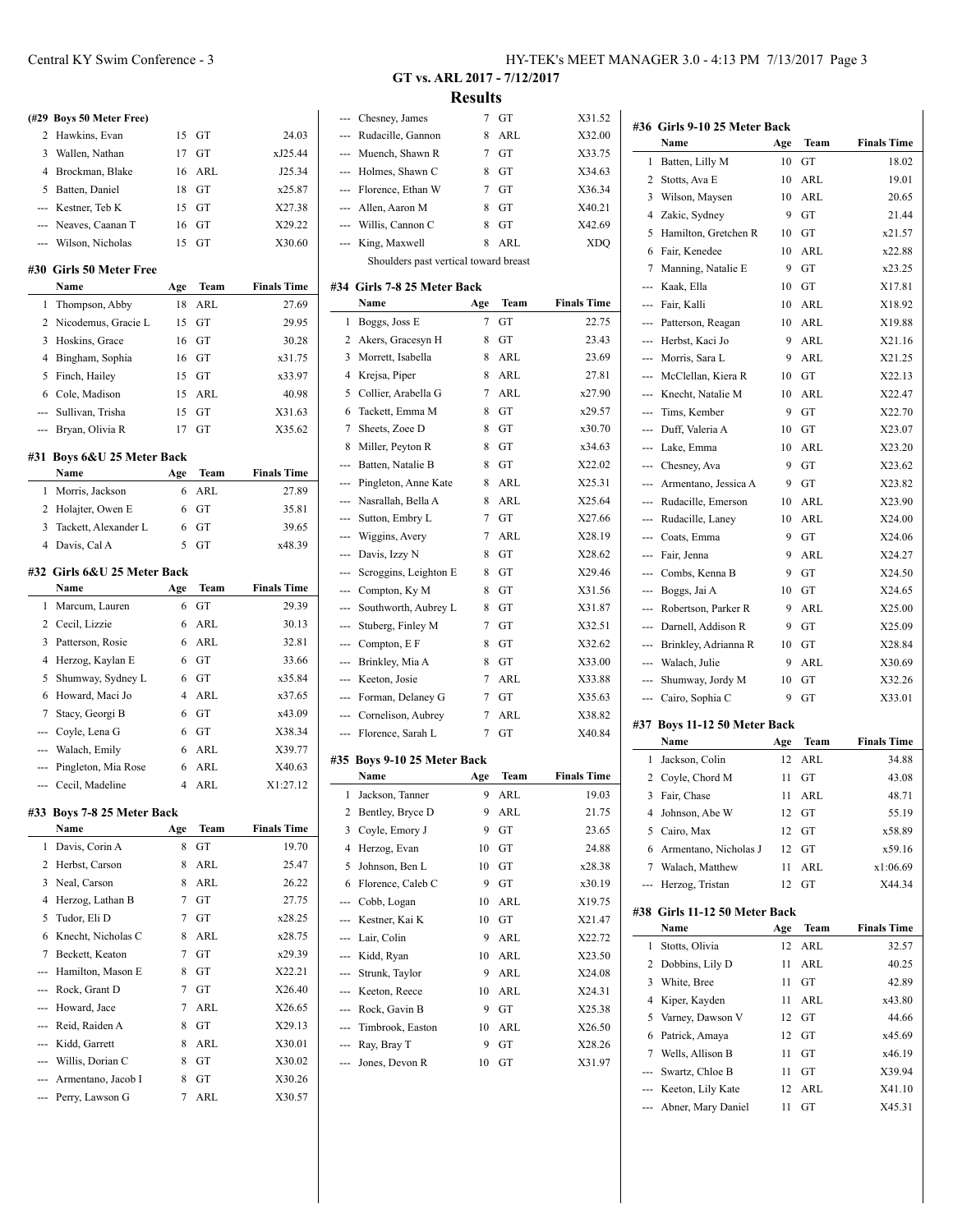|                | (#29 Boys 50 Meter Free)    |                |             |                    |
|----------------|-----------------------------|----------------|-------------|--------------------|
| 2              | Hawkins, Evan               | 15             | GT          | 24.03              |
| 3              | Wallen, Nathan              | 17             | GT          | xJ25.44            |
|                | 4 Brockman, Blake           | 16             | ARL         | J25.34             |
|                | 5 Batten, Daniel            | 18             | GT          | x25.87             |
|                | --- Kestner, Teb K          | 15             | GT          | X27.38             |
|                | --- Neaves, Caanan T        | 16             | GT          | X29.22             |
|                | --- Wilson, Nicholas        | 15             | GТ          | X30.60             |
|                | #30 Girls 50 Meter Free     |                |             |                    |
|                | Name                        | Age            | Team        | <b>Finals Time</b> |
| 1              | Thompson, Abby              | 18             | <b>ARL</b>  | 27.69              |
| 2              | Nicodemus, Gracie L         | 15             | GT          | 29.95              |
| 3              | Hoskins, Grace              | 16             | GT          | 30.28              |
| 4              | Bingham, Sophia             | 16             | GT          | x31.75             |
| 5              | Finch, Hailey               | 15             | GT          | x33.97             |
| 6              | Cole, Madison               | 15             | ARL         | 40.98              |
| $\overline{a}$ | Sullivan, Trisha            | 15             | GT          | X31.63             |
|                | --- Bryan, Olivia R         | 17             | GT          | X35.62             |
|                | #31 Boys 6&U 25 Meter Back  |                |             |                    |
|                | Name                        | Age            | Team        | <b>Finals Time</b> |
| 1              | Morris, Jackson             | 6              | ARL         | 27.89              |
| 2              | Holajter, Owen E            | 6              | GT          | 35.81              |
| 3              | Tackett, Alexander L        | 6              | GT          | 39.65              |
| $\overline{4}$ | Davis, Cal A                | 5              | GT          | x48.39             |
|                | #32 Girls 6&U 25 Meter Back |                |             |                    |
|                | Name                        | Age            | Team        | <b>Finals Time</b> |
| 1              | Marcum, Lauren              | 6              | GT          | 29.39              |
|                | 2 Cecil, Lizzie             | 6              | <b>ARL</b>  | 30.13              |
| 3              | Patterson, Rosie            | 6              | ARL         | 32.81              |
|                | 4 Herzog, Kaylan E          | 6              | GT          | 33.66              |
| 5              | Shumway, Sydney L           | 6              | GT          | x35.84             |
| 6              | Howard, Maci Jo             | 4              | ARL         | x37.65             |
| $\overline{7}$ | Stacy, Georgi B             | 6              | GT          | x43.09             |
|                | --- Coyle, Lena G           | 6              | GT          | X38.34             |
|                | --- Walach, Emily           | 6              | ARL         | X39.77             |
|                | --- Pingleton, Mia Rose     | 6              | <b>ARL</b>  | X40.63             |
|                | --- Cecil, Madeline         | $\overline{4}$ | ARL         | X1:27.12           |
|                | #33 Boys 7-8 25 Meter Back  |                |             |                    |
|                | Name                        | Age            | <b>Team</b> | <b>Finals Time</b> |
| 1              | Davis, Corin A              | 8              | GT          | 19.70              |
| 2              | Herbst, Carson              | 8              | <b>ARL</b>  | 25.47              |
| 3              | Neal, Carson                | 8              | ARL         | 26.22              |

4 Herzog, Lathan B 7 GT 27.75 5 Tudor, Eli D 7 GT x28.25 6 Knecht, Nicholas C 8 ARL x28.75 7 Beckett, Keaton 7 GT x29.39  $-$ -- Hamilton, Mason E 8 GT X22.21 --- Rock, Grant D 7 GT X26.40 --- Howard, Jace 7 ARL X26.65 --- Reid, Raiden A 8 GT X29.13 --- Kidd, Garrett 8 ARL X30.01 --- Willis, Dorian C 8 GT X30.02 --- Armentano, Jacob I 8 GT X30.26 --- Perry, Lawson G 7 ARL X30.57

**GT vs. ARL 2017 - 7/12/2017 Results**

 $\overline{\phantom{0}}$ 

 $\sim$ 

| ---            | Chesney, James                        | 7       | GT         | X31.52             |
|----------------|---------------------------------------|---------|------------|--------------------|
| ---            | Rudacille, Gannon                     | 8       | ARL        | X32.00             |
| ---            | Muench, Shawn R                       | 7       | GT         | X33.75             |
| ---            | Holmes, Shawn C                       | 8       | GT         | X34.63             |
|                | --- Florence, Ethan W                 | 7       | GT         | X36.34             |
|                | --- Allen, Aaron M                    | 8       | GТ         | X40.21             |
|                | --- Willis, Cannon C                  | 8       | GT         | X42.69             |
| ---            | King, Maxwell                         | 8       | ARL        | <b>XDQ</b>         |
|                | Shoulders past vertical toward breast |         |            |                    |
|                | #34 Girls 7-8 25 Meter Back           |         |            |                    |
|                | Name                                  | Age     | Team       | <b>Finals Time</b> |
| 1              | Boggs, Joss E                         | 7       | GT         | 22.75              |
| 2              | Akers, Gracesyn H                     | 8       | GT         | 23.43              |
| 3              | Morrett, Isabella                     | 8       | ARL        | 23.69              |
| $\overline{4}$ | Krejsa, Piper                         | 8       | ARL        | 27.81              |
| 5              | Collier, Arabella G                   | 7       | ARL        | x27.90             |
| 6              | Tackett, Emma M                       | 8       | GT         | x29.57             |
| 7              | Sheets, Zoee D                        | 8       | GT         | x30.70             |
| 8              | Miller, Peyton R                      | 8       | GT         | x34.63             |
| ---            | Batten, Natalie B                     | 8       | GТ         | X22.02             |
| ---            | Pingleton, Anne Kate                  | 8       | ARL        | X25.31             |
| ---            | Nasrallah, Bella A                    | 8       | ARL        | X25.64             |
| ---            | Sutton, Embry L                       | 7       | GT         | X27.66             |
| ---            | Wiggins, Avery                        | 7       | ARL        | X28.19             |
| ---            | Davis, Izzy N                         | 8       | GT         | X28.62             |
| ---            | Scroggins, Leighton E                 | 8       | GТ         | X29.46             |
| ---            | Compton, Ky M                         | 8       | GТ         | X31.56             |
| ---            | Southworth, Aubrey L                  | 8       | GТ         | X31.87             |
| ---            | Stuberg, Finley M                     | 7       | GТ         | X32.51             |
| ---            | Compton, E F                          | 8       | GТ         | X32.62             |
| $\overline{a}$ | Brinkley, Mia A                       | 8       | GT         | X33.00             |
| ---            | Keeton, Josie                         | 7       | ARL        | X33.88             |
| ---            | Forman, Delaney G                     | 7       | GT         | X35.63             |
| ---            | Cornelison, Aubrey                    | 7       | <b>ARL</b> | X38.82             |
| ---            | Florence, Sarah L                     | 7       | GT         | X40.84             |
|                | #35 Boys 9-10 25 Meter Back           |         |            |                    |
|                | Name                                  | Age     | Team       | <b>Finals Time</b> |
| 1              | Jackson, Tanner                       | 9       | ARL        | 19.03              |
| 2              | Bentley, Bryce D                      | 9       | ARL        | 21.75              |
| 3              | Coyle, Emory J                        | 9       | GT         | 23.65              |
| 4              | Herzog, Evan                          | 10      | GT         | 24.88              |
| 5              | Johnson, Ben L                        | 10      | GT         | x28.38             |
| 6              | Florence, Caleb C                     | 9       | GТ         | x30.19             |
| ---            | Cobb, Logan                           | 10      | ARL        | X19.75             |
| ---            | Kestner, Kai K                        | 10      | GT         | X21.47             |
| ---            | Lair, Colin                           | 9       | ARL        | X22.72             |
|                |                                       |         | ARL        | X23.50             |
| ---            | Kidd, Ryan<br>Strunk, Taylor          | 10<br>9 | <b>ARL</b> | X24.08             |
| ---            |                                       |         |            |                    |
| ---            | Keeton, Reece                         | 10      | ARL        | X24.31             |
| ---            | Rock, Gavin B                         | 9       | GT         | X25.38             |
| ---            | Timbrook, Easton                      | 10      | ARL        | X26.50             |
| ---            | Ray, Bray T                           | 9       | GT         | X28.26             |
| ---            | Jones, Devon R                        | 10      | GT         | X31.97             |
|                |                                       |         |            |                    |

|                | #36 Girls 9-10 25 Meter Back               |         |      |                    |
|----------------|--------------------------------------------|---------|------|--------------------|
|                | Name                                       | Age     | Team | <b>Finals Time</b> |
| 1              | Batten, Lilly M                            | 10      | GT   | 18.02              |
| 2              | Stotts, Ava E                              | 10      | ARL  | 19.01              |
| 3              | Wilson, Maysen                             | 10      | ARL  | 20.65              |
| 4              | Zakic, Sydney                              | 9       | GТ   | 21.44              |
| 5              | Hamilton, Gretchen R                       | 10      | GТ   | x21.57             |
| 6              | Fair, Kenedee                              | 10      | ARL  | x22.88             |
| 7              | Manning, Natalie E                         | 9       | GT   | x23.25             |
| ---            | Kaak, Ella                                 | 10      | GТ   | X17.81             |
| $\overline{a}$ | Fair, Kalli                                | 10      | ARL  | X18.92             |
| ---            | Patterson, Reagan                          | 10      | ARL  | X19.88             |
| $---$          | Herbst, Kaci Jo                            | 9       | ARL  | X21.16             |
| $\overline{a}$ | Morris, Sara L                             | 9       | ARL  | X21.25             |
|                | McClellan, Kiera R                         | 10      | GТ   | X22.13             |
| ---            | Knecht, Natalie M                          | 10      | ARL  | X22.47             |
| $\overline{a}$ | Tims, Kember                               | 9       | GT   | X22.70             |
| ---            | Duff, Valeria A                            | 10      | GТ   | X23.07             |
|                | --- Lake, Emma                             | 10      | ARL  | X23.20             |
|                | --- Chesney, Ava                           | 9       | GТ   | X23.62             |
|                |                                            |         | GT   | X23.82             |
| ---<br>---     | Armentano, Jessica A<br>Rudacille, Emerson | 9<br>10 | ARL  | X23.90             |
|                |                                            |         |      |                    |
| $\overline{a}$ | Rudacille, Laney                           | 10      | ARL  | X24.00             |
| ---            | Coats, Emma                                | 9       | GТ   | X24.06             |
| $-$            | Fair, Jenna                                | 9       | ARL  | X24.27             |
| $---$          | Combs, Kenna B                             | 9       | GТ   | X24.50             |
| ---            | Boggs, Jai A                               | 10      | GТ   | X24.65             |
| $---$          | Robertson, Parker R                        | 9       | ARL  | X25.00             |
| $---$          | Darnell, Addison R                         | 9       | GТ   | X25.09             |
| ---            | Brinkley, Adrianna R                       | 10      | GТ   | X28.84             |
|                | --- Walach, Julie                          | 9       | ARL  | X30.69             |
| ---            | Shumway, Jordy M                           | 10      | GТ   | X32.26             |
| ---            | Cairo, Sophia C                            | 9       | GT   | X33.01             |
|                | #37 Boys 11-12 50 Meter Back               |         |      |                    |
|                | Name                                       | Age     | Team | <b>Finals Time</b> |
| 1              | Jackson, Colin                             | 12      | ARL  | 34.88              |
| 2              | Coyle, Chord M                             | 11      | GТ   | 43.08              |
| 3              | Fair, Chase                                | 11      | ARL  | 48.71              |
| 4              | Johnson, Abe W                             | 12      | GT   | 55.19              |
| 5              | Cairo, Max                                 | 12      | GT   | x58.89             |
| 6              | Armentano, Nicholas J                      | 12      | GT   | x59.16             |
| 7              | Walach, Matthew                            | 11      | ARL  | x1:06.69           |
| ---            | Herzog, Tristan                            | 12      | GT   | X44.34             |
|                | #38 Girls 11-12 50 Meter Back              |         |      |                    |
|                | Name                                       | Age     | Team | <b>Finals Time</b> |
| 1              | Stotts, Olivia                             | 12      | ARL  | 32.57              |
| 2              | Dobbins, Lily D                            | 11      | ARL  | 40.25              |
| 3              | White, Bree                                | 11      | GT   | 42.89              |
| 4              | Kiper, Kayden                              | 11      | ARL  | x43.80             |
| 5              | Varney, Dawson V                           | 12      | GT   | 44.66              |
| 6              | Patrick, Amaya                             | 12      | GT   | x45.69             |
| 7              | Wells, Allison B                           | 11      | GT   | x46.19             |
| ---            | Swartz, Chloe B                            | 11      | GT   | X39.94             |
|                | --- Keeton, Lily Kate                      | 12      | ARL  | X41.10             |
|                | Abner, Mary Daniel                         | 11      | GT   | X45.31             |
|                |                                            |         |      |                    |
|                |                                            |         |      |                    |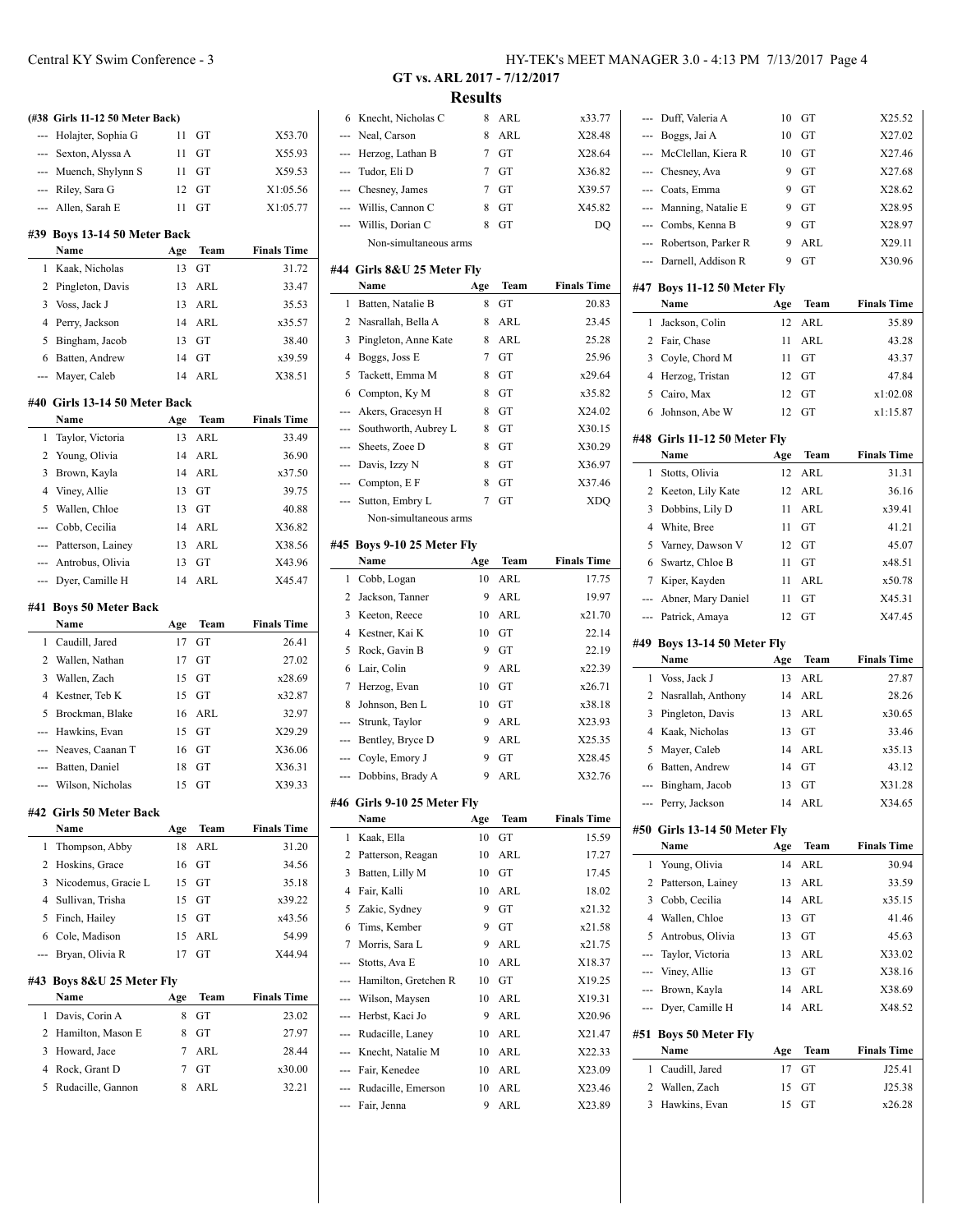|       | (#38 Girls 11-12 50 Meter Back)  |           |            |                             |
|-------|----------------------------------|-----------|------------|-----------------------------|
| $---$ | Holajter, Sophia G               | 11        | GT         | X53.70                      |
|       | --- Sexton, Alyssa A             | 11        | GТ         | X55.93                      |
|       | --- Muench, Shylynn S            | 11        | GT         | X59.53                      |
|       | --- Riley, Sara G                | 12        | GТ         | X1:05.56                    |
|       | --- Allen, Sarah E               | 11        | GТ         | X1:05.77                    |
| #39   | Boys 13-14 50 Meter Back         |           |            |                             |
|       | Name                             | Age       | Team       | <b>Finals Time</b>          |
| 1     | Kaak, Nicholas                   | 13        | GT         | 31.72                       |
| 2     | Pingleton, Davis                 | 13        | ARL        | 33.47                       |
| 3     | Voss, Jack J                     | 13        | ARL        | 35.53                       |
| 4     | Perry, Jackson                   | 14        | ARL        | x35.57                      |
| 5     | Bingham, Jacob                   | 13        | GT         | 38.40                       |
| 6     | Batten, Andrew                   | 14        | GT         | x39.59                      |
| ---   | Mayer, Caleb                     | 14        | ARL        | X38.51                      |
|       | #40 Girls 13-14 50 Meter Back    |           |            |                             |
|       | Name                             | Age       | Team       | <b>Finals Time</b>          |
| 1     | Taylor, Victoria                 | 13        | ARL        | 33.49                       |
| 2     | Young, Olivia                    | 14        | ARL        | 36.90                       |
| 3     | Brown, Kayla                     | 14        | ARL        | x37.50                      |
| 4     | Viney, Allie                     | 13        | GT         | 39.75                       |
| 5     | Wallen, Chloe                    | 13        | GT         | 40.88                       |
| ---   | Cobb, Cecilia                    | 14        | ARL        | X36.82                      |
|       | --- Patterson, Lainey            | 13        | ARL        | X38.56                      |
|       | --- Antrobus, Olivia             | 13        | GT         | X43.96                      |
| ---   | Dyer, Camille H                  | 14        | ARL        | X45.47                      |
|       |                                  |           |            |                             |
|       |                                  |           |            |                             |
| #41   | <b>Boys 50 Meter Back</b>        |           |            |                             |
| 1     | Name                             | Age<br>17 | Team<br>GT | <b>Finals Time</b><br>26.41 |
| 2     | Caudill, Jared<br>Wallen, Nathan | 17        | GT         | 27.02                       |
| 3     |                                  | 15        | GT         | x28.69                      |
| 4     | Wallen, Zach<br>Kestner, Teb K   | 15        | GТ         | x32.87                      |
| 5     | Brockman, Blake                  | 16        | ARL        | 32.97                       |
| ---   | Hawkins, Evan                    | 15        | GT         | X29.29                      |
| ---   | Neaves, Caanan T                 | 16        | GТ         | X36.06                      |
| ---   | Batten, Daniel                   | 18        | GТ         | X36.31                      |
|       | Wilson, Nicholas                 | 15        | GT         | X39.33                      |
|       |                                  |           |            |                             |
|       | #42 Girls 50 Meter Back          |           |            |                             |
|       | Name                             | Age       | Team       | <b>Finals Time</b>          |
| 1     | Thompson, Abby                   | 18        | <b>ARL</b> | 31.20                       |
| 2     | Hoskins, Grace                   | 16        | GT         | 34.56                       |
| 3     | Nicodemus, Gracie L              | 15        | GТ         | 35.18                       |
| 4     | Sullivan, Trisha                 | 15        | GT         | x39.22                      |
| 5     | Finch, Hailey                    | 15        | GT         | x43.56                      |
| 6     | Cole, Madison                    | 15        | ARL        | 54.99                       |
| ---   | Bryan, Olivia R                  | 17        | GT         | X44.94                      |
| #43   | Boys 8&U 25 Meter Fly            |           |            |                             |
|       | Name                             | Age       | Team       | <b>Finals Time</b>          |
| 1     | Davis, Corin A                   | 8         | GT         | 23.02                       |
| 2     | Hamilton, Mason E                | 8         | GТ         | 27.97                       |
| 3     | Howard, Jace                     | 7         | ARL        | 28.44                       |
| 4     | Rock, Grant D                    | 7         | GT         | x30.00                      |

**GT vs. ARL 2017 - 7/12/2017 Results**

| 6                        | Knecht, Nicholas C          | 8      | ARL  | x33.77             |
|--------------------------|-----------------------------|--------|------|--------------------|
| ---                      | Neal, Carson                | 8      | ARL  | X28.48             |
| ---                      | Herzog, Lathan B            | 7      | GT   | X28.64             |
| ---                      | Tudor, Eli D                | 7      | GT   | X36.82             |
| ---                      | Chesney, James              | $\tau$ | GТ   | X39.57             |
| ---                      | Willis, Cannon C            | 8      | GT   | X45.82             |
| ---                      | Willis, Dorian C            | 8      | GТ   | DQ                 |
|                          | Non-simultaneous arms       |        |      |                    |
|                          | #44 Girls 8&U 25 Meter Fly  |        |      |                    |
|                          | Name                        | Age    | Team | <b>Finals Time</b> |
| 1                        | Batten, Natalie B           | 8      | GT   | 20.83              |
| 2                        | Nasrallah, Bella A          | 8      | ARL  | 23.45              |
| 3                        | Pingleton, Anne Kate        | 8      | ARL  | 25.28              |
| 4                        | Boggs, Joss E               | $\tau$ | GT   | 25.96              |
| 5                        | Tackett, Emma M             | 8      | GT   | x29.64             |
| 6                        | Compton, Ky M               | 8      | GТ   | x35.82             |
| ---                      | Akers, Gracesyn H           | 8      | GТ   | X24.02             |
| ---                      | Southworth, Aubrey L        | 8      | GТ   | X30.15             |
| ---                      | Sheets, Zoee D              | 8      | GT   | X30.29             |
| ---                      | Davis, Izzy N               | 8      | GТ   | X36.97             |
| ---                      | Compton, E F                | 8      | GТ   | X37.46             |
| ---                      | Sutton, Embry L             | 7      | GT   | <b>XDQ</b>         |
|                          | Non-simultaneous arms       |        |      |                    |
|                          |                             |        |      |                    |
| #45                      | Boys 9-10 25 Meter Fly      |        |      |                    |
|                          | Name                        | Age    | Team | <b>Finals Time</b> |
| 1                        | Cobb, Logan                 | 10     | ARL  | 17.75              |
| 2                        | Jackson, Tanner             | 9      | ARL  | 19.97              |
| 3                        | Keeton, Reece               | 10     | ARL  | x21.70             |
| 4                        | Kestner, Kai K              | 10     | GT   | 22.14              |
| 5                        | Rock, Gavin B               | 9      | GT   | 22.19              |
| 6                        | Lair, Colin                 | 9      | ARL  | x22.39             |
| 7                        | Herzog, Evan                | 10     | GТ   | x26.71             |
| 8                        | Johnson, Ben L              | 10     | GT   | x38.18             |
| ---                      | Strunk, Taylor              | 9      | ARL  | X23.93<br>X25.35   |
| ---                      | Bentley, Bryce D            | 9      | ARL  |                    |
| ---                      | Coyle, Emory J              | 9<br>9 | GT   | X28.45<br>X32.76   |
| $\overline{\phantom{a}}$ | Dobbins, Brady A            |        | ARL  |                    |
|                          | #46 Girls 9-10 25 Meter Fly |        |      |                    |
|                          | Name                        | Age    | Team | <b>Finals Time</b> |
| 1                        | Kaak, Ella                  | 10     | GT   | 15.59              |
| 2                        | Patterson, Reagan           | 10     | ARL  | 17.27              |
| 3                        | Batten, Lilly M             | 10     | GT   | 17.45              |
| 4                        | Fair, Kalli                 | 10     | ARL  | 18.02              |
| 5                        | Zakic, Sydney               | 9      | GT   | x21.32             |
| 6                        | Tims, Kember                | 9      | GT   | x21.58             |
| 7                        | Morris, Sara L              | 9      | ARL  | x21.75             |
| ---                      | Stotts, Ava E               | 10     | ARL  | X18.37             |
| ---                      | Hamilton, Gretchen R        | 10     | GT   | X19.25             |
| ---                      | Wilson, Maysen              | 10     | ARL  | X19.31             |
| ---                      | Herbst, Kaci Jo             | 9      | ARL  | X20.96             |
| ---                      | Rudacille, Laney            | 10     | ARL  | X21.47             |
| ---                      | Knecht, Natalie M           | 10     | ARL  | X22.33             |
| ---                      | Fair, Kenedee               | 10     | ARL  | X23.09             |
| ---                      | Rudacille, Emerson          | 10     | ARL  | X23.46             |
| ---                      | Fair, Jenna                 | 9      | ARL  | X23.89             |

 $\overline{a}$ 

 $\overline{a}$ 

|                | Duff, Valeria A                     | 10       | GT          | X25.52             |
|----------------|-------------------------------------|----------|-------------|--------------------|
| ---            | Boggs, Jai A                        | 10       | GT          | X27.02             |
| ---            | McClellan, Kiera R                  | 10       | GT          | X27.46             |
| ---            | Chesney, Ava                        | 9        | GT          | X27.68             |
|                | --- Coats, Emma                     | 9        | GT          | X28.62             |
|                | --- Manning, Natalie E              | 9        | GT          | X28.95             |
|                | --- Combs, Kenna B                  | 9        | GT          | X28.97             |
|                | --- Robertson, Parker R             | 9        | ARL         | X29.11             |
| ---            | Darnell, Addison R                  | 9        | GT          | X30.96             |
|                |                                     |          |             |                    |
|                | #47 Boys 11-12 50 Meter Fly<br>Name | Age      | Team        | <b>Finals Time</b> |
| 1              | Jackson, Colin                      | 12       | ARL         | 35.89              |
| 2              | Fair, Chase                         | 11       | ARL         | 43.28              |
| 3              | Coyle, Chord M                      | 11       | GT          | 43.37              |
| 4              | Herzog, Tristan                     | 12       | GТ          | 47.84              |
| 5              | Cairo, Max                          | 12       | GТ          | x1:02.08           |
| 6              | Johnson, Abe W                      | 12       | GТ          | x1:15.87           |
|                |                                     |          |             |                    |
|                | #48 Girls 11-12 50 Meter Fly        |          |             |                    |
|                | Name                                | Age      | Team        | <b>Finals Time</b> |
| 1              | Stotts, Olivia                      | 12       | ARL         | 31.31              |
| 2              | Keeton, Lily Kate                   | 12       | ARL         | 36.16              |
| 3              | Dobbins, Lily D                     | 11       | ARL         | x39.41             |
| 4              | White, Bree                         | 11       | GT          | 41.21              |
| 5              | Varney, Dawson V                    | 12       | GT          | 45.07              |
| 6              | Swartz, Chloe B                     | 11       | GТ          | x48.51             |
| 7              | Kiper, Kayden                       | 11       | ARL         | x50.78             |
| ---            | Abner, Mary Daniel                  | 11       | GТ          | X45.31             |
| ---            | Patrick, Amaya                      | 12       | GТ          | X47.45             |
|                |                                     |          |             |                    |
|                | #49 Boys 13-14 50 Meter Fly         |          |             |                    |
|                | Name                                | Age      | Team        | <b>Finals Time</b> |
| 1              | Voss, Jack J                        | 13       | ARL         | 27.87              |
| 2              | Nasrallah, Anthony                  | 14       | ARL         | 28.26              |
| 3              | Pingleton, Davis                    | 13       | ARL         | x30.65             |
| 4              | Kaak, Nicholas                      | 13       | GT          | 33.46              |
| 5              | Mayer, Caleb                        | 14       | ARL         | x35.13             |
| 6              | Batten, Andrew                      | 14       | GT          | 43.12              |
| ---            | Bingham, Jacob                      | 13       | GT          | X31.28             |
| ---            | Perry, Jackson                      | 14       | ARL         | X34.65             |
|                |                                     |          |             |                    |
|                | #50 Girls 13-14 50 Meter Fly        |          |             |                    |
|                | Name                                | Age      | <b>Team</b> | <b>Finals Time</b> |
| 1              | Young, Olivia                       | 14       | ARL         | 30.94              |
| 2              | Patterson, Lainey                   | 13       | ARL         | 33.59              |
| 3              | Cobb, Cecilia                       | 14       | ARL         | x35.15             |
| $\overline{4}$ | Wallen, Chloe                       | 13       | GT          | 41.46              |
| 5<br>---       | Antrobus, Olivia                    | 13       | GT          | 45.63              |
| ---            | Taylor, Victoria                    | 13<br>13 | ARL<br>GT   | X33.02<br>X38.16   |
| ---            | Viney, Allie                        | 14       | ARL         | X38.69             |
| ---            | Brown, Kayla<br>Dyer, Camille H     | 14       | ARL         | X48.52             |
|                |                                     |          |             |                    |
|                | #51 Boys 50 Meter Fly               |          |             |                    |
|                | Name                                | Age      | Team        | <b>Finals Time</b> |
| 1              | Caudill, Jared                      | 17       | GТ          | J25.41             |
| 2<br>3         | Wallen, Zach<br>Hawkins, Evan       | 15<br>15 | GТ<br>GT    | J25.38<br>x26.28   |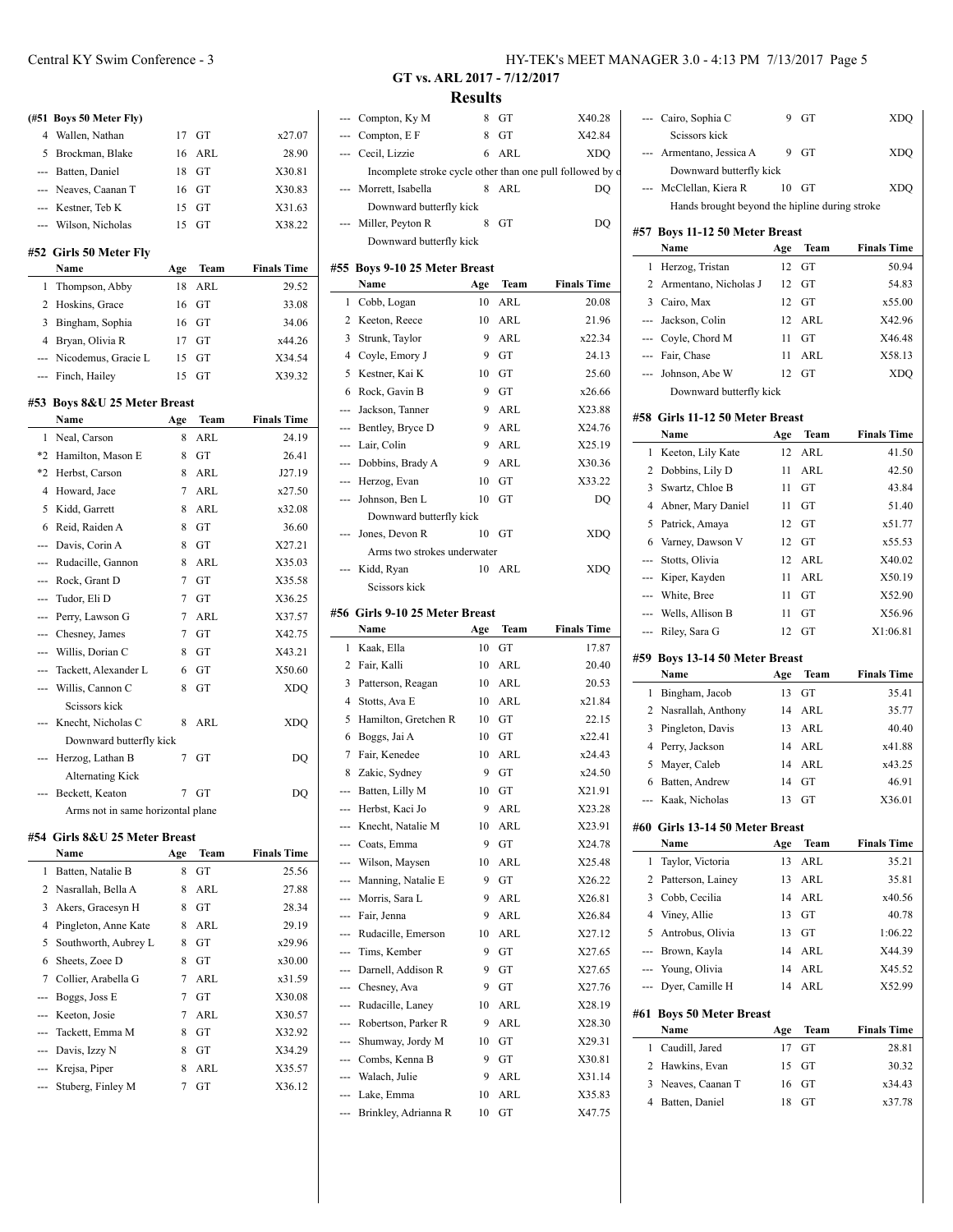# **(#51 Boys 50 Meter Fly)** 4 Wallen, Nathan 17 GT x27.07 5 Brockman, Blake 16 ARL 28.90 --- Batten, Daniel 18 GT X30.81 --- Neaves, Caanan T 16 GT X30.83 --- Kestner, Teb K 15 GT X31.63 --- Wilson, Nicholas 15 GT X38.22

 $\frac{1}{2}$ 

 $\frac{1}{2}$ 

## **#52 Girls 50 Meter Fly**

| Name                    | Age | Team    | <b>Finals Time</b> |
|-------------------------|-----|---------|--------------------|
| 1 Thompson, Abby        | 18  | ARL     | 29.52              |
| 2 Hoskins, Grace        |     | 16 GT   | 33.08              |
| Bingham, Sophia         |     | $16$ GT | 34.06              |
| 4 Bryan, Olivia R       |     | $17$ GT | x44.26             |
| --- Nicodemus, Gracie L |     | $15$ GT | X34.54             |
| --- Finch, Hailey       | 15  | GT      | X39.32             |

#### **#53 Boys 8&U 25 Meter Breast**

|      | Name                              | Age | Team       | <b>Finals Time</b> |
|------|-----------------------------------|-----|------------|--------------------|
| 1    | Neal, Carson                      | 8   | ARL        | 24.19              |
| $*2$ | Hamilton, Mason E                 | 8   | GT         | 26.41              |
| $*2$ | Herbst, Carson                    | 8   | ARL        | J27.19             |
| 4    | Howard, Jace                      | 7   | ARL        | x27.50             |
| 5    | Kidd, Garrett                     | 8   | <b>ARL</b> | x32.08             |
| 6    | Reid, Raiden A                    | 8   | GT         | 36.60              |
| ---  | Davis, Corin A                    | 8   | GT         | X27.21             |
| ---  | Rudacille, Gannon                 | 8   | ARL        | X35.03             |
| ---  | Rock, Grant D                     | 7   | GT         | X35.58             |
| ---  | Tudor, Eli D                      | 7   | GT         | X36.25             |
| ---  | Perry, Lawson G                   | 7   | ARL        | X37.57             |
| ---  | Chesney, James                    | 7   | GT         | X42.75             |
| ---  | Willis, Dorian C                  | 8   | GT         | X43.21             |
| ---  | Tackett, Alexander L              | 6   | GT         | X50.60             |
| ---  | Willis, Cannon C                  | 8   | GT         | <b>XDQ</b>         |
|      | Scissors kick                     |     |            |                    |
|      | Knecht, Nicholas C                | 8   | ARL        | XDQ                |
|      | Downward butterfly kick           |     |            |                    |
| ---  | Herzog, Lathan B                  | 7   | GT         | DQ                 |
|      | <b>Alternating Kick</b>           |     |            |                    |
|      | Beckett, Keaton                   | 7   | GT         | DQ                 |
|      | Arms not in same horizontal plane |     |            |                    |

#### **#54 Girls 8&U 25 Meter Breast**

 $\overline{a}$ 

|    | Name                   | Age | Team | <b>Finals Time</b> |
|----|------------------------|-----|------|--------------------|
| 1. | Batten, Natalie B      | 8   | GT   | 25.56              |
|    | 2 Nasrallah, Bella A   | 8   | ARL  | 27.88              |
| 3  | Akers, Gracesyn H      | 8   | GT   | 28.34              |
| 4  | Pingleton, Anne Kate   | 8   | ARL  | 29.19              |
|    | 5 Southworth, Aubrey L | 8   | GT   | x29.96             |
| 6  | Sheets, Zoee D         | 8   | GT   | x30.00             |
| 7  | Collier, Arabella G    | 7   | ARL  | x31.59             |
|    | --- Boggs, Joss E      | 7   | GT   | X30.08             |
|    | --- Keeton, Josie      | 7   | ARL  | X30.57             |
|    | --- Tackett, Emma M    | 8   | GT   | X32.92             |
|    | --- Davis, Izzy N      | 8   | GT   | X34.29             |
|    | --- Krejsa, Piper      | 8   | ARL  | X35.57             |
|    | --- Stuberg, Finley M  | 7   | GT   | X36.12             |
|    |                        |     |      |                    |

# Central KY Swim Conference - 3 HY-TEK's MEET MANAGER 3.0 - 4:13 PM 7/13/2017 Page 5

**GT vs. ARL 2017 - 7/12/2017 Results**

|            | Compton, Ky M                                             | 8        | GT         | X40.28             |                |
|------------|-----------------------------------------------------------|----------|------------|--------------------|----------------|
|            | Compton, E F                                              | 8        | GТ         | X42.84             |                |
| --         | Cecil, Lizzie                                             | 6        | ARL        | XDQ                |                |
|            | Incomplete stroke cycle other than one pull followed by o |          |            |                    |                |
|            | Morrett, Isabella                                         | 8        | ARL        | DQ                 |                |
|            | Downward butterfly kick                                   |          |            |                    |                |
|            | Miller, Peyton R                                          | 8        | GT         | DO                 |                |
|            | Downward butterfly kick                                   |          |            |                    | #57            |
|            |                                                           |          |            |                    |                |
|            | #55 Boys 9-10 25 Meter Breast                             |          |            |                    | 1              |
|            | Name                                                      | Age      | Team       | <b>Finals Time</b> | 2              |
| 1          | Cobb, Logan                                               | 10       | ARL        | 20.08              | 3              |
| 2          | Keeton, Reece                                             | 10       | ARL        | 21.96              |                |
| 3          | Strunk, Taylor                                            | 9        | <b>ARL</b> | x22.34             |                |
| 4          | Coyle, Emory J                                            | 9        | GT         | 24.13              |                |
| 5          | Kestner, Kai K                                            | 10       | GT         | 25.60              |                |
| 6          | Rock, Gavin B                                             | 9        | GT         | x26.66             |                |
| ---        | Jackson, Tanner                                           | 9        | ARL        | X23.88             | #58            |
| ---        | Bentley, Bryce D                                          | 9        | ARL        | X24.76             |                |
| ---        | Lair, Colin                                               | 9        | ARL        | X25.19             | 1              |
| ---        | Dobbins, Brady A                                          | 9        | ARL        | X30.36             | $\overline{c}$ |
| ---        | Herzog, Evan                                              | 10       | GТ         | X33.22             | 3              |
| ---        | Johnson, Ben L                                            | 10       | GТ         | DQ                 | $\overline{4}$ |
|            | Downward butterfly kick                                   |          |            |                    | 5              |
|            | Jones, Devon R                                            | 10       | GТ         | <b>XDO</b>         | 6              |
|            | Arms two strokes underwater                               |          |            |                    |                |
| ---        | Kidd, Ryan                                                | 10       | ARL        | XDQ                |                |
|            | Scissors kick                                             |          |            |                    |                |
|            | #56 Girls 9-10 25 Meter Breast                            |          |            |                    |                |
|            |                                                           |          |            |                    |                |
|            | Name                                                      |          |            |                    |                |
|            |                                                           | Age      | Team       | <b>Finals Time</b> |                |
| 1          | Kaak, Ella                                                | 10       | GT         | 17.87              | #59            |
| 2          | Fair, Kalli                                               | 10       | ARL        | 20.40              |                |
| 3          | Patterson, Reagan                                         | 10       | ARL        | 20.53              | 1              |
| 4          | Stotts, Ava E                                             | 10       | ARL        | x21.84             | 2              |
| 5          | Hamilton, Gretchen R                                      | 10       | GT         | 22.15              | 3              |
| 6          | Boggs, Jai A                                              | 10       | GT         | x22.41             | 4              |
| 7          | Fair, Kenedee                                             | 10       | ARL        | x24.43             | 5              |
| 8          | Zakic, Sydney                                             | 9        | GT         | x24.50             | 6              |
| ---        | Batten, Lilly M                                           | 10       | GT         | X21.91             |                |
|            | Herbst, Kaci Jo                                           | 9        | ARL        | X23.28             |                |
| ---        | Knecht, Natalie M                                         | 10       | ARL        | X23.91             | #60            |
| ---        | Coats, Emma                                               | 9        | GT         | X24.78             |                |
|            | --- Wilson, Maysen                                        | 10       | ARL        | X25.48             | 1              |
|            | --- Manning, Natalie E                                    | 9        | GT         | X26.22             | 2              |
|            | --- Morris, Sara L                                        | 9        | ARL        | X26.81             | 3              |
| ---        | Fair, Jenna                                               | 9        | ARL        | X26.84             | 4              |
| ---        | Rudacille, Emerson                                        | 10       | ARL        | X27.12             | 5              |
| ---        | Tims, Kember                                              | 9        | GT         | X27.65             |                |
| ---        | Darnell, Addison R                                        | 9        | GT         | X27.65             |                |
| ---        | Chesney, Ava                                              | 9        | GT         | X27.76             |                |
| ---        | Rudacille, Laney                                          | 10       | ARL        | X28.19             | #61            |
| ---        | Robertson, Parker R                                       | 9        | ARL        | X28.30             |                |
| ---        | Shumway, Jordy M                                          | 10       | GT         | X29.31             | 1              |
| ---        | Combs, Kenna B                                            | 9        | GT         | X30.81             | 2              |
| ---        | Walach, Julie                                             | 9        | ARL        | X31.14             | 3              |
| ---<br>--- | Lake, Emma<br>Brinkley, Adrianna R                        | 10<br>10 | ARL<br>GT  | X35.83<br>X47.75   | 4              |

|          | Cairo, Sophia C                                | 9   | GТ         | XDQ                |
|----------|------------------------------------------------|-----|------------|--------------------|
|          | Seissors kick                                  |     |            |                    |
|          | Armentano, Jessica A                           | 9   | GT         | XDQ                |
|          | Downward butterfly kick                        |     |            |                    |
|          | McClellan, Kiera R                             | 10  | GТ         | XDQ                |
|          | Hands brought beyond the hipline during stroke |     |            |                    |
|          | #57 Boys 11-12 50 Meter Breast                 |     |            |                    |
|          | Name                                           | Age | Team       | <b>Finals Time</b> |
| 1        | Herzog, Tristan                                | 12  | GT         | 50.94              |
| 2        | Armentano, Nicholas J                          | 12  | GT         | 54.83              |
|          | 3 Cairo, Max                                   | 12  | GT         | x55.00             |
| ---      | Jackson, Colin                                 | 12  | ARL        | X42.96             |
|          | --- Coyle, Chord M                             | 11  | GT         | X46.48             |
|          | --- Fair, Chase                                | 11  | ARL        | X58.13             |
| ---      | Johnson, Abe W                                 | 12  | GT         | XDQ                |
|          | Downward butterfly kick                        |     |            |                    |
|          |                                                |     |            |                    |
|          | #58 Girls 11-12 50 Meter Breast<br>Name        | Age | Team       | <b>Finals Time</b> |
| 1        | Keeton, Lily Kate                              | 12  | ARL        | 41.50              |
| 2        | Dobbins, Lily D                                | 11  | <b>ARL</b> | 42.50              |
| 3        | Swartz, Chloe B                                | 11  | GT         | 43.84              |
| 4        | Abner, Mary Daniel                             | 11  | GТ         | 51.40              |
| 5        | Patrick, Amaya                                 | 12  | GТ         | x51.77             |
| 6        | Varney, Dawson V                               | 12  | GТ         | x55.53             |
| ---      | Stotts, Olivia                                 | 12  | ARL        | X40.02             |
| $\cdots$ | Kiper, Kayden                                  | 11  | ARL        | X50.19             |
| $\cdots$ | White, Bree                                    | 11  | GТ         | X52.90             |
|          | --- Wells, Allison B                           | 11  | GТ         | X56.96             |
|          |                                                |     |            |                    |
|          |                                                | 12  | GT         |                    |
| ---      | Riley, Sara G                                  |     |            | X1:06.81           |
|          | #59 Boys 13-14 50 Meter Breast                 |     |            |                    |
|          | Name                                           | Age | Team       | <b>Finals Time</b> |
| 1        | Bingham, Jacob                                 | 13  | GТ         | 35.41              |
| 2        | Nasrallah, Anthony                             | 14  | ARL        | 35.77              |
| 3        | Pingleton, Davis                               | 13  | ARL        | 40.40              |
| 4        | Perry, Jackson                                 | 14  | ARL        | x41.88             |
| 5        | Mayer, Caleb                                   | 14  | <b>ARL</b> | x43.25             |
| 6        | Batten, Andrew                                 | 14  | GТ         | 46.91              |
| --       | Kaak, Nicholas                                 | 13  | GТ         | X36.01             |
|          | #60 Girls 13-14 50 Meter Breast                |     |            |                    |
|          | Name                                           | Age | Team       | <b>Finals Time</b> |
| 1        | Taylor, Victoria                               | 13  | <b>ARL</b> | 35.21              |
| 2        | Patterson, Lainey                              | 13  | ARL        | 35.81              |
| 3        | Cobb, Cecilia                                  | 14  | <b>ARL</b> | x40.56             |
| 4        | Viney, Allie                                   | 13  | GT         | 40.78              |
| 5        | Antrobus, Olivia                               | 13  | GT         | 1:06.22            |
| ---      | Brown, Kayla                                   | 14  | ARL        | X44.39             |
| ---      | Young, Olivia                                  | 14  | ARL        | X45.52             |
| ---      | Dyer, Camille H                                | 14  | ARL        | X52.99             |
| #61      | <b>Boys 50 Meter Breast</b>                    |     |            |                    |
|          | Name                                           | Age | Team       | <b>Finals Time</b> |
| 1        | Caudill, Jared                                 | 17  | GT         | 28.81              |
| 2        | Hawkins, Evan                                  | 15  | GТ         | 30.32              |
| 3        | Neaves, Caanan T                               | 16  | GТ         | x34.43             |
| 4        | Batten, Daniel                                 | 18  | GТ         | x37.78             |